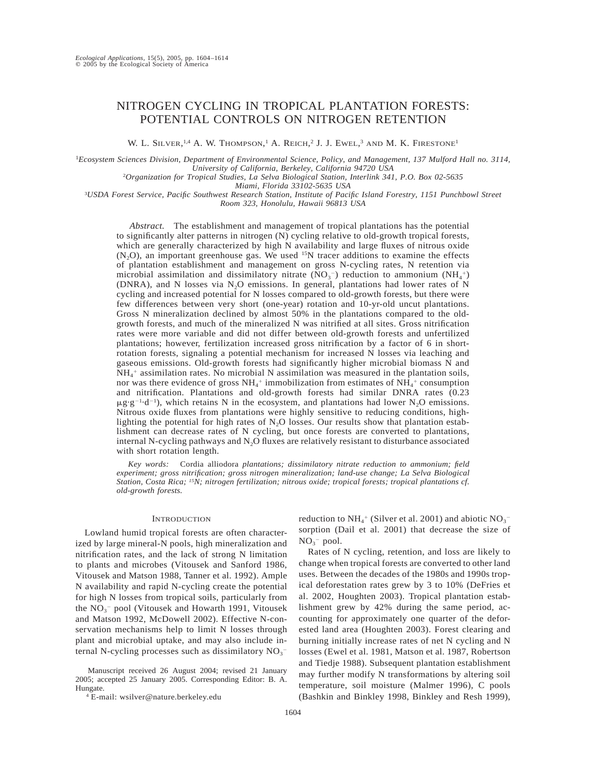# NITROGEN CYCLING IN TROPICAL PLANTATION FORESTS: POTENTIAL CONTROLS ON NITROGEN RETENTION

W. L. SILVER,<sup>1,4</sup> A. W. Thompson,<sup>1</sup> A. Reich,<sup>2</sup> J. J. Ewel,<sup>3</sup> and M. K. Firestone<sup>1</sup>

<sup>1</sup>*Ecosystem Sciences Division, Department of Environmental Science, Policy, and Management, 137 Mulford Hall no. 3114, University of California, Berkeley, California 94720 USA*

2 *Organization for Tropical Studies, La Selva Biological Station, Interlink 341, P.O. Box 02-5635*

*Miami, Florida 33102-5635 USA*

3 *USDA Forest Service, Pacific Southwest Research Station, Institute of Pacific Island Forestry, 1151 Punchbowl Street*

*Room 323, Honolulu, Hawaii 96813 USA*

*Abstract.* The establishment and management of tropical plantations has the potential to significantly alter patterns in nitrogen (N) cycling relative to old-growth tropical forests, which are generally characterized by high N availability and large fluxes of nitrous oxide  $(N<sub>2</sub>O)$ , an important greenhouse gas. We used <sup>15</sup>N tracer additions to examine the effects of plantation establishment and management on gross N-cycling rates, N retention via microbial assimilation and dissimilatory nitrate  $(NO<sub>3</sub><sup>-</sup>)$  reduction to ammonium  $(NH<sub>4</sub><sup>+</sup>)$ (DNRA), and N losses via  $N_2O$  emissions. In general, plantations had lower rates of N cycling and increased potential for N losses compared to old-growth forests, but there were few differences between very short (one-year) rotation and 10-yr-old uncut plantations. Gross N mineralization declined by almost 50% in the plantations compared to the oldgrowth forests, and much of the mineralized N was nitrified at all sites. Gross nitrification rates were more variable and did not differ between old-growth forests and unfertilized plantations; however, fertilization increased gross nitrification by a factor of 6 in shortrotation forests, signaling a potential mechanism for increased N losses via leaching and gaseous emissions. Old-growth forests had significantly higher microbial biomass N and NH<sub>4</sub><sup>+</sup> assimilation rates. No microbial N assimilation was measured in the plantation soils, nor was there evidence of gross  $NH_4$ <sup>+</sup> immobilization from estimates of  $NH_4$ <sup>+</sup> consumption and nitrification. Plantations and old-growth forests had similar DNRA rates (0.23  $\mu$ g·g<sup>-1</sup>·d<sup>-1</sup>), which retains N in the ecosystem, and plantations had lower N<sub>2</sub>O emissions. Nitrous oxide fluxes from plantations were highly sensitive to reducing conditions, highlighting the potential for high rates of  $N<sub>2</sub>O$  losses. Our results show that plantation establishment can decrease rates of N cycling, but once forests are converted to plantations, internal N-cycling pathways and  $N_2O$  fluxes are relatively resistant to disturbance associated with short rotation length.

*Key words:* Cordia alliodora *plantations; dissimilatory nitrate reduction to ammonium; field experiment; gross nitrification; gross nitrogen mineralization; land-use change; La Selva Biological Station, Costa Rica; 15N; nitrogen fertilization; nitrous oxide; tropical forests; tropical plantations cf. old-growth forests.*

# **INTRODUCTION**

Lowland humid tropical forests are often characterized by large mineral-N pools, high mineralization and nitrification rates, and the lack of strong N limitation to plants and microbes (Vitousek and Sanford 1986, Vitousek and Matson 1988, Tanner et al. 1992). Ample N availability and rapid N-cycling create the potential for high N losses from tropical soils, particularly from the  $NO<sub>3</sub><sup>-</sup>$  pool (Vitousek and Howarth 1991, Vitousek and Matson 1992, McDowell 2002). Effective N-conservation mechanisms help to limit N losses through plant and microbial uptake, and may also include internal N-cycling processes such as dissimilatory  $NO_3^-$ 

Manuscript received 26 August 2004; revised 21 January 2005; accepted 25 January 2005. Corresponding Editor: B. A. Hungate.

reduction to  $NH_4^+$  (Silver et al. 2001) and abiotic  $NO_3^$ sorption (Dail et al. 2001) that decrease the size of  $NO<sub>3</sub><sup>-</sup>$  pool.

Rates of N cycling, retention, and loss are likely to change when tropical forests are converted to other land uses. Between the decades of the 1980s and 1990s tropical deforestation rates grew by 3 to 10% (DeFries et al. 2002, Houghten 2003). Tropical plantation establishment grew by 42% during the same period, accounting for approximately one quarter of the deforested land area (Houghten 2003). Forest clearing and burning initially increase rates of net N cycling and N losses (Ewel et al. 1981, Matson et al. 1987, Robertson and Tiedje 1988). Subsequent plantation establishment may further modify N transformations by altering soil temperature, soil moisture (Malmer 1996), C pools (Bashkin and Binkley 1998, Binkley and Resh 1999),

<sup>4</sup> E-mail: wsilver@nature.berkeley.edu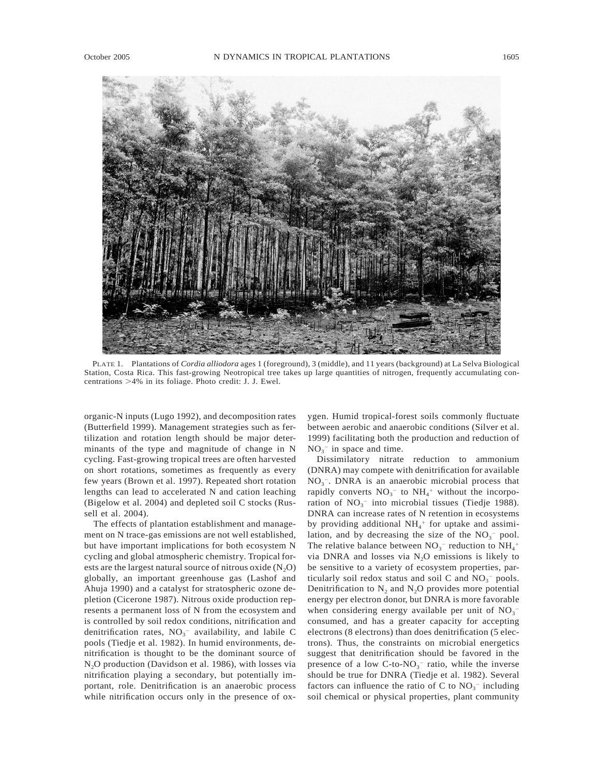

PLATE 1. Plantations of *Cordia alliodora* ages 1 (foreground), 3 (middle), and 11 years (background) at La Selva Biological Station, Costa Rica. This fast-growing Neotropical tree takes up large quantities of nitrogen, frequently accumulating concentrations  $>4\%$  in its foliage. Photo credit: J. J. Ewel.

organic-N inputs (Lugo 1992), and decomposition rates (Butterfield 1999). Management strategies such as fertilization and rotation length should be major determinants of the type and magnitude of change in N cycling. Fast-growing tropical trees are often harvested on short rotations, sometimes as frequently as every few years (Brown et al. 1997). Repeated short rotation lengths can lead to accelerated N and cation leaching (Bigelow et al. 2004) and depleted soil C stocks (Russell et al. 2004).

The effects of plantation establishment and management on N trace-gas emissions are not well established, but have important implications for both ecosystem N cycling and global atmospheric chemistry. Tropical forests are the largest natural source of nitrous oxide  $(N_2O)$ globally, an important greenhouse gas (Lashof and Ahuja 1990) and a catalyst for stratospheric ozone depletion (Cicerone 1987). Nitrous oxide production represents a permanent loss of N from the ecosystem and is controlled by soil redox conditions, nitrification and denitrification rates,  $NO<sub>3</sub><sup>-</sup>$  availability, and labile C pools (Tiedje et al. 1982). In humid environments, denitrification is thought to be the dominant source of N<sub>2</sub>O production (Davidson et al. 1986), with losses via nitrification playing a secondary, but potentially important, role. Denitrification is an anaerobic process while nitrification occurs only in the presence of oxygen. Humid tropical-forest soils commonly fluctuate between aerobic and anaerobic conditions (Silver et al. 1999) facilitating both the production and reduction of  $NO<sub>3</sub><sup>-</sup>$  in space and time.

Dissimilatory nitrate reduction to ammonium (DNRA) may compete with denitrification for available  $NO<sub>3</sub><sup>-</sup>$ . DNRA is an anaerobic microbial process that rapidly converts  $NO<sub>3</sub><sup>-</sup>$  to  $NH<sub>4</sub><sup>+</sup>$  without the incorporation of  $NO<sub>3</sub><sup>-</sup>$  into microbial tissues (Tiedje 1988). DNRA can increase rates of N retention in ecosystems by providing additional NH4 <sup>1</sup> for uptake and assimilation, and by decreasing the size of the  $NO<sub>3</sub><sup>-</sup>$  pool. The relative balance between  $NO_3^-$  reduction to  $NH_4$ <sup>+</sup> via DNRA and losses via  $N_2O$  emissions is likely to be sensitive to a variety of ecosystem properties, particularly soil redox status and soil C and  $NO<sub>3</sub><sup>-</sup>$  pools. Denitrification to  $N_2$  and  $N_2O$  provides more potential energy per electron donor, but DNRA is more favorable when considering energy available per unit of  $NO<sub>3</sub>$ <sup>-</sup> consumed, and has a greater capacity for accepting electrons (8 electrons) than does denitrification (5 electrons). Thus, the constraints on microbial energetics suggest that denitrification should be favored in the presence of a low  $C$ -to- $NO<sub>3</sub><sup>-</sup>$  ratio, while the inverse should be true for DNRA (Tiedje et al. 1982). Several factors can influence the ratio of C to  $NO<sub>3</sub><sup>-</sup>$  including soil chemical or physical properties, plant community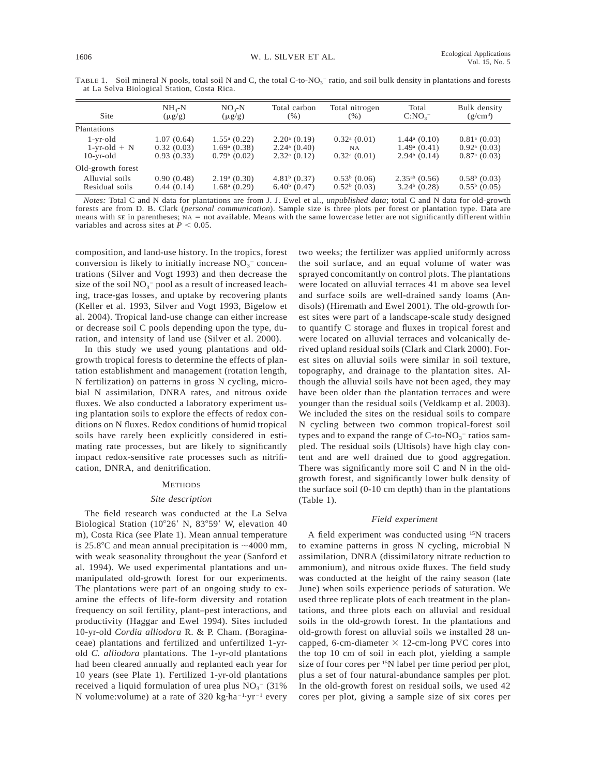| Site              | $NH_{4}-N$<br>$(\mu g/g)$ | $NO3-N$<br>$(\mu g/g)$     | Total carbon<br>$(\%)$       | Total nitrogen<br>$(\%)$   | Total<br>C:NO <sub>3</sub>   | Bulk density<br>$(g/cm^3)$   |
|-------------------|---------------------------|----------------------------|------------------------------|----------------------------|------------------------------|------------------------------|
| Plantations       |                           |                            |                              |                            |                              |                              |
| 1-yr-old          | 1.07(0.64)                | $1.55^{\mathrm{a}}$ (0.22) | $2.20a$ (0.19)               | $0.32^{\mathrm{a}}$ (0.01) | $1.44^{\mathrm{a}}$ $(0.10)$ | $0.81^{\mathrm{a}}$ (0.03)   |
| $1$ -yr-old + N   | 0.32(0.03)                | $1.69a$ (0.38)             | $2.24$ <sup>a</sup> $(0.40)$ | NA.                        | $1.49^{\circ}$ (0.41)        | $0.92$ <sup>a</sup> $(0.03)$ |
| $10$ -yr-old      | 0.93(0.33)                | $0.79b$ (0.02)             | $2.32a$ (0.12)               | $0.32^{\mathrm{a}}$ (0.01) | $2.94b$ (0.14)               | $0.87$ <sup>a</sup> $(0.03)$ |
| Old-growth forest |                           |                            |                              |                            |                              |                              |
| Alluvial soils    | 0.90(0.48)                | $2.19a$ (0.30)             | $4.81b$ (0.37)               | $0.53b$ (0.06)             | $2.35ab$ (0.56)              | $0.58b$ (0.03)               |
| Residual soils    | 0.44(0.14)                | $1.68a$ (0.29)             | $6.40b$ (0.47)               | $0.52b$ (0.03)             | $3.24b$ (0.28)               | $0.55^{\mathrm{b}}$ (0.05)   |

TABLE 1. Soil mineral N pools, total soil N and C, the total  $C$ -to-NO<sub>3</sub><sup>-</sup> ratio, and soil bulk density in plantations and forests at La Selva Biological Station, Costa Rica.

*Notes:* Total C and N data for plantations are from J. J. Ewel et al., *unpublished data*; total C and N data for old-growth forests are from D. B. Clark (*personal communication*). Sample size is three plots per forest or plantation type. Data are means with  $SE$  in parentheses;  $NA = not available$ . Means with the same lowercase letter are not significantly different within variables and across sites at  $P < 0.05$ .

composition, and land-use history. In the tropics, forest conversion is likely to initially increase  $NO<sub>3</sub><sup>-</sup>$  concentrations (Silver and Vogt 1993) and then decrease the size of the soil  $NO<sub>3</sub><sup>-</sup>$  pool as a result of increased leaching, trace-gas losses, and uptake by recovering plants (Keller et al. 1993, Silver and Vogt 1993, Bigelow et al. 2004). Tropical land-use change can either increase or decrease soil C pools depending upon the type, duration, and intensity of land use (Silver et al. 2000).

In this study we used young plantations and oldgrowth tropical forests to determine the effects of plantation establishment and management (rotation length, N fertilization) on patterns in gross N cycling, microbial N assimilation, DNRA rates, and nitrous oxide fluxes. We also conducted a laboratory experiment using plantation soils to explore the effects of redox conditions on N fluxes. Redox conditions of humid tropical soils have rarely been explicitly considered in estimating rate processes, but are likely to significantly impact redox-sensitive rate processes such as nitrification, DNRA, and denitrification.

# METHODS

### *Site description*

The field research was conducted at the La Selva Biological Station (10°26' N, 83°59' W, elevation 40 m), Costa Rica (see Plate 1). Mean annual temperature is 25.8 $\degree$ C and mean annual precipitation is  $\sim$ 4000 mm, with weak seasonality throughout the year (Sanford et al. 1994). We used experimental plantations and unmanipulated old-growth forest for our experiments. The plantations were part of an ongoing study to examine the effects of life-form diversity and rotation frequency on soil fertility, plant–pest interactions, and productivity (Haggar and Ewel 1994). Sites included 10-yr-old *Cordia alliodora* R. & P. Cham. (Boraginaceae) plantations and fertilized and unfertilized 1-yrold *C. alliodora* plantations. The 1-yr-old plantations had been cleared annually and replanted each year for 10 years (see Plate 1). Fertilized 1-yr-old plantations received a liquid formulation of urea plus  $NO<sub>3</sub><sup>-</sup> (31%)$ N volume: volume) at a rate of 320 kg $\cdot$ ha<sup>-1</sup>·yr<sup>-1</sup> every two weeks; the fertilizer was applied uniformly across the soil surface, and an equal volume of water was sprayed concomitantly on control plots. The plantations were located on alluvial terraces 41 m above sea level and surface soils are well-drained sandy loams (Andisols) (Hiremath and Ewel 2001). The old-growth forest sites were part of a landscape-scale study designed to quantify C storage and fluxes in tropical forest and were located on alluvial terraces and volcanically derived upland residual soils (Clark and Clark 2000). Forest sites on alluvial soils were similar in soil texture, topography, and drainage to the plantation sites. Although the alluvial soils have not been aged, they may have been older than the plantation terraces and were younger than the residual soils (Veldkamp et al. 2003). We included the sites on the residual soils to compare N cycling between two common tropical-forest soil types and to expand the range of  $C$ -to- $NO<sub>3</sub>^-$  ratios sampled. The residual soils (Ultisols) have high clay content and are well drained due to good aggregation. There was significantly more soil C and N in the oldgrowth forest, and significantly lower bulk density of the surface soil (0-10 cm depth) than in the plantations (Table 1).

#### *Field experiment*

A field experiment was conducted using 15N tracers to examine patterns in gross N cycling, microbial N assimilation, DNRA (dissimilatory nitrate reduction to ammonium), and nitrous oxide fluxes. The field study was conducted at the height of the rainy season (late June) when soils experience periods of saturation. We used three replicate plots of each treatment in the plantations, and three plots each on alluvial and residual soils in the old-growth forest. In the plantations and old-growth forest on alluvial soils we installed 28 uncapped, 6-cm-diameter  $\times$  12-cm-long PVC cores into the top 10 cm of soil in each plot, yielding a sample size of four cores per 15N label per time period per plot, plus a set of four natural-abundance samples per plot. In the old-growth forest on residual soils, we used 42 cores per plot, giving a sample size of six cores per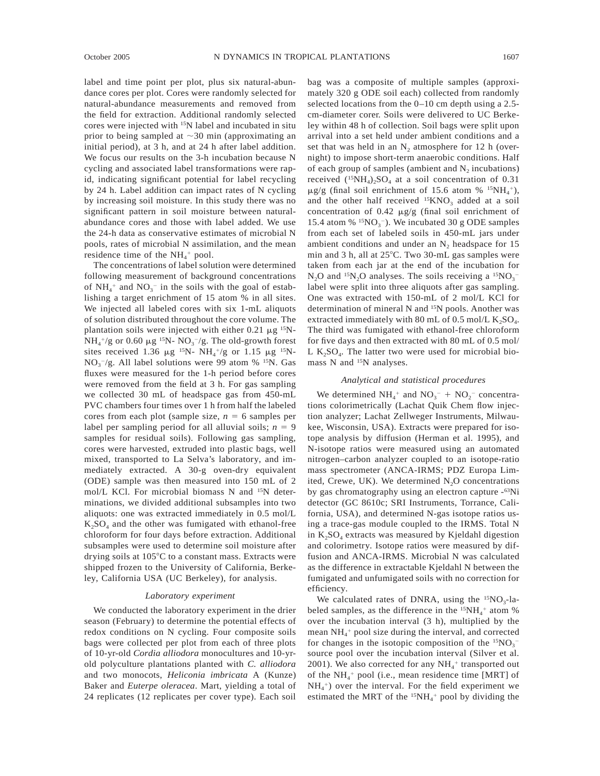label and time point per plot, plus six natural-abundance cores per plot. Cores were randomly selected for natural-abundance measurements and removed from the field for extraction. Additional randomly selected cores were injected with 15N label and incubated in situ prior to being sampled at  $\sim$ 30 min (approximating an initial period), at 3 h, and at 24 h after label addition. We focus our results on the 3-h incubation because N cycling and associated label transformations were rapid, indicating significant potential for label recycling by 24 h. Label addition can impact rates of N cycling by increasing soil moisture. In this study there was no significant pattern in soil moisture between naturalabundance cores and those with label added. We use the 24-h data as conservative estimates of microbial N pools, rates of microbial N assimilation, and the mean residence time of the  $NH_4$ <sup>+</sup> pool.

The concentrations of label solution were determined following measurement of background concentrations of  $NH_4$ <sup>+</sup> and  $NO_3$ <sup>-</sup> in the soils with the goal of establishing a target enrichment of 15 atom % in all sites. We injected all labeled cores with six 1-mL aliquots of solution distributed throughout the core volume. The plantation soils were injected with either  $0.21 \mu g$ <sup>15</sup>N- $NH_4^+$ /g or 0.60  $\mu$ g <sup>15</sup>N- NO<sub>3</sub><sup>-</sup>/g. The old-growth forest sites received 1.36  $\mu$ g <sup>15</sup>N- NH<sub>4</sub><sup>+/</sup>g or 1.15  $\mu$ g <sup>15</sup>N- $NO<sub>3</sub><sup>-</sup>/g$ . All label solutions were 99 atom % <sup>15</sup>N. Gas fluxes were measured for the 1-h period before cores were removed from the field at 3 h. For gas sampling we collected 30 mL of headspace gas from 450-mL PVC chambers four times over 1 h from half the labeled cores from each plot (sample size,  $n = 6$  samples per label per sampling period for all alluvial soils;  $n = 9$ samples for residual soils). Following gas sampling, cores were harvested, extruded into plastic bags, well mixed, transported to La Selva's laboratory, and immediately extracted. A 30-g oven-dry equivalent (ODE) sample was then measured into 150 mL of 2 mol/L KCl. For microbial biomass N and 15N determinations, we divided additional subsamples into two aliquots: one was extracted immediately in 0.5 mol/L  $K_2SO_4$  and the other was fumigated with ethanol-free chloroform for four days before extraction. Additional subsamples were used to determine soil moisture after drying soils at  $105^{\circ}$ C to a constant mass. Extracts were shipped frozen to the University of California, Berkeley, California USA (UC Berkeley), for analysis.

# *Laboratory experiment*

We conducted the laboratory experiment in the drier season (February) to determine the potential effects of redox conditions on N cycling. Four composite soils bags were collected per plot from each of three plots of 10-yr-old *Cordia alliodora* monocultures and 10-yrold polyculture plantations planted with *C. alliodora* and two monocots, *Heliconia imbricata* A (Kunze) Baker and *Euterpe oleracea*. Mart, yielding a total of 24 replicates (12 replicates per cover type). Each soil

bag was a composite of multiple samples (approximately 320 g ODE soil each) collected from randomly selected locations from the 0–10 cm depth using a 2.5 cm-diameter corer. Soils were delivered to UC Berkeley within 48 h of collection. Soil bags were split upon arrival into a set held under ambient conditions and a set that was held in an  $N_2$  atmosphere for 12 h (overnight) to impose short-term anaerobic conditions. Half of each group of samples (ambient and  $N_2$  incubations) received  $(^{15}NH_4)_2SO_4$  at a soil concentration of 0.31  $\mu$ g/g (final soil enrichment of 15.6 atom % <sup>15</sup>NH<sub>4</sub><sup>+</sup>), and the other half received  $15KNO<sub>3</sub>$  added at a soil concentration of 0.42  $\mu$ g/g (final soil enrichment of 15.4 atom %  $15NO_3$ <sup>-</sup>). We incubated 30 g ODE samples from each set of labeled soils in 450-mL jars under ambient conditions and under an  $N_2$  headspace for 15 min and 3 h, all at  $25^{\circ}$ C. Two 30-mL gas samples were taken from each jar at the end of the incubation for  $N_2O$  and <sup>15</sup>N<sub>2</sub>O analyses. The soils receiving a <sup>15</sup>NO<sub>3</sub><sup>-1</sup> label were split into three aliquots after gas sampling. One was extracted with 150-mL of 2 mol/L KCl for determination of mineral N and <sup>15</sup>N pools. Another was extracted immediately with 80 mL of 0.5 mol/L  $K_2SO_4$ . The third was fumigated with ethanol-free chloroform for five days and then extracted with 80 mL of 0.5 mol/ L  $K_2SO_4$ . The latter two were used for microbial biomass N and <sup>15</sup>N analyses.

### *Analytical and statistical procedures*

We determined  $NH_4$ <sup>+</sup> and  $NO_3^-$  +  $NO_2^-$  concentrations colorimetrically (Lachat Quik Chem flow injection analyzer; Lachat Zellweger Instruments, Milwaukee, Wisconsin, USA). Extracts were prepared for isotope analysis by diffusion (Herman et al. 1995), and N-isotope ratios were measured using an automated nitrogen–carbon analyzer coupled to an isotope-ratio mass spectrometer (ANCA-IRMS; PDZ Europa Limited, Crewe, UK). We determined  $N_2O$  concentrations by gas chromatography using an electron capture - <sup>63</sup>Ni detector (GC 8610c; SRI Instruments, Torrance, California, USA), and determined N-gas isotope ratios using a trace-gas module coupled to the IRMS. Total N in  $K_2SO_4$  extracts was measured by Kjeldahl digestion and colorimetry. Isotope ratios were measured by diffusion and ANCA-IRMS. Microbial N was calculated as the difference in extractable Kjeldahl N between the fumigated and unfumigated soils with no correction for efficiency.

We calculated rates of DNRA, using the  $15NO_3$ -labeled samples, as the difference in the  ${}^{15}NH_4{}^+$  atom % over the incubation interval (3 h), multiplied by the mean NH4 <sup>1</sup> pool size during the interval, and corrected for changes in the isotopic composition of the  $15NO_3^$ source pool over the incubation interval (Silver et al. 2001). We also corrected for any  $NH_4$ <sup>+</sup> transported out of the NH<sub>4</sub><sup>+</sup> pool (i.e., mean residence time [MRT] of  $NH<sub>4</sub>$ <sup>+</sup>) over the interval. For the field experiment we estimated the MRT of the  $15NH_4$ <sup>+</sup> pool by dividing the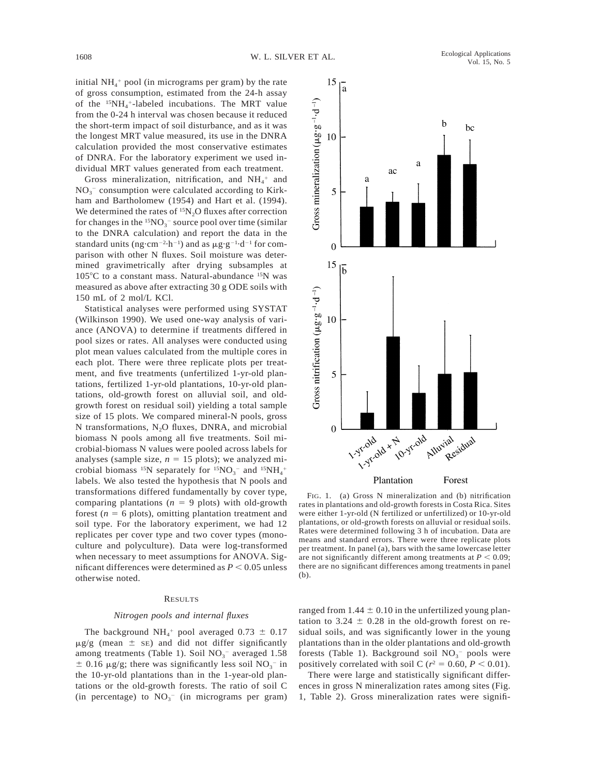initial  $NH_4$ <sup>+</sup> pool (in micrograms per gram) by the rate of gross consumption, estimated from the 24-h assay of the  $^{15}NH_4$ <sup>+</sup>-labeled incubations. The MRT value from the 0-24 h interval was chosen because it reduced the short-term impact of soil disturbance, and as it was the longest MRT value measured, its use in the DNRA calculation provided the most conservative estimates of DNRA. For the laboratory experiment we used in-

dividual MRT values generated from each treatment. Gross mineralization, nitrification, and  $NH_4^+$  and  $NO<sub>3</sub><sup>-</sup>$  consumption were calculated according to Kirkham and Bartholomew (1954) and Hart et al. (1994). We determined the rates of  $15N<sub>2</sub>O$  fluxes after correction for changes in the  $15NO_3^-$  source pool over time (similar to the DNRA calculation) and report the data in the standard units (ng·cm<sup>-2</sup>·h<sup>-1</sup>) and as  $\mu$ g·g<sup>-1</sup>·d<sup>-1</sup> for comparison with other N fluxes. Soil moisture was determined gravimetrically after drying subsamples at  $105^{\circ}$ C to a constant mass. Natural-abundance  $15N$  was measured as above after extracting 30 g ODE soils with 150 mL of 2 mol/L KCl.

Statistical analyses were performed using SYSTAT (Wilkinson 1990). We used one-way analysis of variance (ANOVA) to determine if treatments differed in pool sizes or rates. All analyses were conducted using plot mean values calculated from the multiple cores in each plot. There were three replicate plots per treatment, and five treatments (unfertilized 1-yr-old plantations, fertilized 1-yr-old plantations, 10-yr-old plantations, old-growth forest on alluvial soil, and oldgrowth forest on residual soil) yielding a total sample size of 15 plots. We compared mineral-N pools, gross N transformations,  $N_2O$  fluxes, DNRA, and microbial biomass N pools among all five treatments. Soil microbial-biomass N values were pooled across labels for analyses (sample size,  $n = 15$  plots); we analyzed microbial biomass <sup>15</sup>N separately for  $15NO_3^-$  and  $15NH_4^+$ labels. We also tested the hypothesis that N pools and transformations differed fundamentally by cover type, comparing plantations  $(n = 9$  plots) with old-growth forest  $(n = 6$  plots), omitting plantation treatment and soil type. For the laboratory experiment, we had 12 replicates per cover type and two cover types (monoculture and polyculture). Data were log-transformed when necessary to meet assumptions for ANOVA. Significant differences were determined as  $P < 0.05$  unless otherwise noted.

# RESULTS

# *Nitrogen pools and internal fluxes*

The background  $NH_4$ <sup>+</sup> pool averaged  $0.73 \pm 0.17$  $\mu$ g/g (mean  $\pm$  sE) and did not differ significantly among treatments (Table 1). Soil  $NO<sub>3</sub><sup>-</sup>$  averaged 1.58  $\pm$  0.16  $\mu$ g/g; there was significantly less soil NO<sub>3</sub><sup>-</sup> in the 10-yr-old plantations than in the 1-year-old plantations or the old-growth forests. The ratio of soil C (in percentage) to  $NO<sub>3</sub><sup>-</sup>$  (in micrograms per gram)



FIG. 1. (a) Gross N mineralization and (b) nitrification rates in plantations and old-growth forests in Costa Rica. Sites were either 1-yr-old (N fertilized or unfertilized) or 10-yr-old plantations, or old-growth forests on alluvial or residual soils. Rates were determined following 3 h of incubation. Data are means and standard errors. There were three replicate plots per treatment. In panel (a), bars with the same lowercase letter are not significantly different among treatments at  $P < 0.09$ ; there are no significant differences among treatments in panel (b).

ranged from  $1.44 \pm 0.10$  in the unfertilized young plantation to 3.24  $\pm$  0.28 in the old-growth forest on residual soils, and was significantly lower in the young plantations than in the older plantations and old-growth forests (Table 1). Background soil  $NO<sub>3</sub><sup>-</sup>$  pools were positively correlated with soil C ( $r^2 = 0.60$ ,  $P < 0.01$ ).

There were large and statistically significant differences in gross N mineralization rates among sites (Fig. 1, Table 2). Gross mineralization rates were signifi-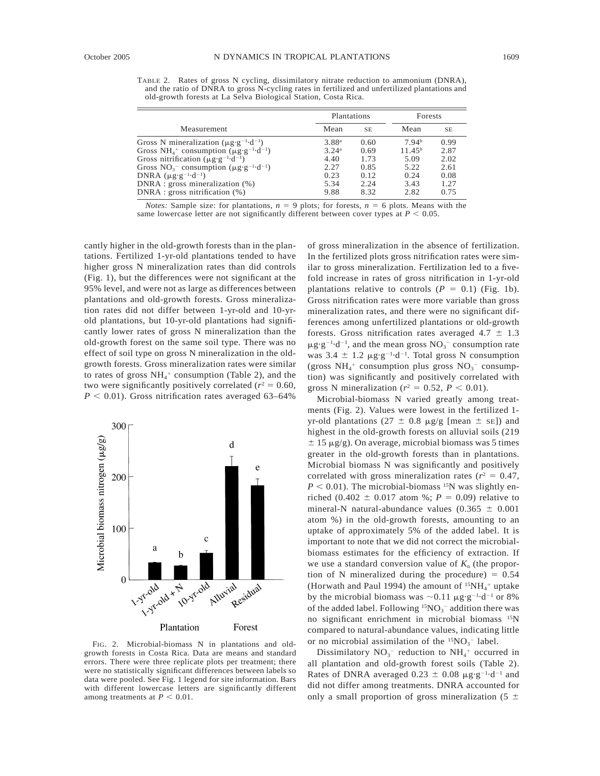TABLE 2. Rates of gross N cycling, dissimilatory nitrate reduction to ammonium (DNRA), and the ratio of DNRA to gross N-cycling rates in fertilized and unfertilized plantations and old-growth forests at La Selva Biological Station, Costa Rica.

|                                                                                             | Plantations       |           | Forests            |           |
|---------------------------------------------------------------------------------------------|-------------------|-----------|--------------------|-----------|
| Measurement                                                                                 | Mean              | <b>SE</b> | Mean               | <b>SE</b> |
| Gross N mineralization ( $\mu$ g·g <sup>-1</sup> ·d <sup>-1</sup> )                         | 3.88 <sup>a</sup> | 0.60      | 7.94 <sup>b</sup>  | 0.99      |
| Gross NH <sub>4</sub> <sup>+</sup> consumption ( $\mu$ g·g <sup>-1</sup> ·d <sup>-1</sup> ) | 3.24 <sup>a</sup> | 0.69      | 11.45 <sup>b</sup> | 2.87      |
| Gross nitrification ( $\mu$ g·g <sup>-1</sup> ·d <sup>-1</sup> )                            | 4.40              | 1.73      | 5.09               | 2.02      |
| Gross $NO_3^-$ consumption ( $\mu$ g·g <sup>-1</sup> ·d <sup>-1</sup> )                     | 2.27              | 0.85      | 5.22               | 2.61      |
| DNRA $(\mu g \cdot g^{-1} \cdot d^{-1})$                                                    | 0.23              | 0.12      | 0.24               | 0.08      |
| $DNRA$ : gross mineralization $(\%)$                                                        | 5.34              | 2.24      | 3.43               | 1.27      |
| $DNRA$ : gross nitrification $(\%)$                                                         | 9.88              | 8.32      | 2.82               | 0.75      |

*Notes:* Sample size: for plantations,  $n = 9$  plots; for forests,  $n = 6$  plots. Means with the same lowercase letter are not significantly different between cover types at  $P < 0.05$ .

cantly higher in the old-growth forests than in the plantations. Fertilized 1-yr-old plantations tended to have higher gross N mineralization rates than did controls (Fig. 1), but the differences were not significant at the 95% level, and were not as large as differences between plantations and old-growth forests. Gross mineralization rates did not differ between 1-yr-old and 10-yrold plantations, but 10-yr-old plantations had significantly lower rates of gross N mineralization than the old-growth forest on the same soil type. There was no effect of soil type on gross N mineralization in the oldgrowth forests. Gross mineralization rates were similar to rates of gross  $NH_4$ <sup>+</sup> consumption (Table 2), and the two were significantly positively correlated  $(r^2 = 0.60,$  $P < 0.01$ ). Gross nitrification rates averaged 63–64%



FIG. 2. Microbial-biomass N in plantations and oldgrowth forests in Costa Rica. Data are means and standard errors. There were three replicate plots per treatment; there were no statistically significant differences between labels so data were pooled. See Fig. 1 legend for site information. Bars with different lowercase letters are significantly different among treatments at  $P < 0.01$ .

of gross mineralization in the absence of fertilization. In the fertilized plots gross nitrification rates were similar to gross mineralization. Fertilization led to a fivefold increase in rates of gross nitrification in 1-yr-old plantations relative to controls  $(P = 0.1)$  (Fig. 1b). Gross nitrification rates were more variable than gross mineralization rates, and there were no significant differences among unfertilized plantations or old-growth forests. Gross nitrification rates averaged  $4.7 \pm 1.3$  $\mu$ g·g<sup>-1</sup>·d<sup>-1</sup>, and the mean gross NO<sub>3</sub><sup>-</sup> consumption rate was  $3.4 \pm 1.2 \mu g \cdot g^{-1} \cdot d^{-1}$ . Total gross N consumption (gross  $NH_4$ <sup>+</sup> consumption plus gross  $NO_3$ <sup>-</sup> consumption) was significantly and positively correlated with gross N mineralization ( $r^2 = 0.52$ ,  $P < 0.01$ ).

Microbial-biomass N varied greatly among treatments (Fig. 2). Values were lowest in the fertilized 1 yr-old plantations (27  $\pm$  0.8 µg/g [mean  $\pm$  sE]) and highest in the old-growth forests on alluvial soils (219  $\pm$  15 µg/g). On average, microbial biomass was 5 times greater in the old-growth forests than in plantations. Microbial biomass N was significantly and positively correlated with gross mineralization rates ( $r^2 = 0.47$ ,  $P < 0.01$ ). The microbial-biomass <sup>15</sup>N was slightly enriched (0.402  $\pm$  0.017 atom %; *P* = 0.09) relative to mineral-N natural-abundance values  $(0.365 \pm 0.001)$ atom %) in the old-growth forests, amounting to an uptake of approximately 5% of the added label. It is important to note that we did not correct the microbialbiomass estimates for the efficiency of extraction. If we use a standard conversion value of  $K_n$  (the proportion of N mineralized during the procedure)  $= 0.54$ (Horwath and Paul 1994) the amount of  ${}^{15}NH_4{}^+$  uptake by the microbial biomass was  $\sim 0.11 \mu g \cdot g^{-1} \cdot d^{-1}$  or 8% of the added label. Following  ${}^{15}NO_3^-$  addition there was no significant enrichment in microbial biomass 15N compared to natural-abundance values, indicating little or no microbial assimilation of the  ${}^{15}NO_3^-$  label.

Dissimilatory  $NO_3^-$  reduction to  $NH_4$ <sup>+</sup> occurred in all plantation and old-growth forest soils (Table 2). Rates of DNRA averaged  $0.23 \pm 0.08 \mu g \cdot g^{-1} \cdot d^{-1}$  and did not differ among treatments. DNRA accounted for only a small proportion of gross mineralization (5  $\pm$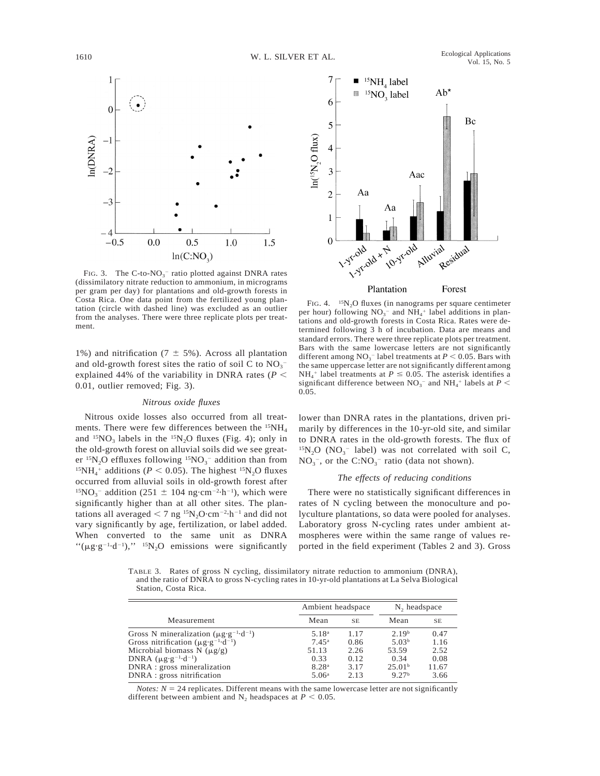

FIG. 3. The C-to- $NO_3^-$  ratio plotted against DNRA rates (dissimilatory nitrate reduction to ammonium, in micrograms per gram per day) for plantations and old-growth forests in Costa Rica. One data point from the fertilized young plantation (circle with dashed line) was excluded as an outlier from the analyses. There were three replicate plots per treatment.

1%) and nitrification (7  $\pm$  5%). Across all plantation and old-growth forest sites the ratio of soil C to  $NO_3^$ explained 44% of the variability in DNRA rates ( $P \leq$ 0.01, outlier removed; Fig. 3).

#### *Nitrous oxide fluxes*

Nitrous oxide losses also occurred from all treatments. There were few differences between the  ${}^{15}NH_{4}$ and  ${}^{15}NO_3$  labels in the  ${}^{15}N_2O$  fluxes (Fig. 4); only in the old-growth forest on alluvial soils did we see greater  ${}^{15}N_2$ O effluxes following  ${}^{15}NO_3^-$  addition than from <sup>15</sup>NH<sub>4</sub><sup>+</sup> additions ( $P < 0.05$ ). The highest <sup>15</sup>N<sub>2</sub>O fluxes occurred from alluvial soils in old-growth forest after <sup>15</sup>NO<sub>3</sub><sup>-</sup> addition (251  $\pm$  104 ng·cm<sup>-2</sup>·h<sup>-1</sup>), which were significantly higher than at all other sites. The plantations all averaged  $< 7$  ng <sup>15</sup>N<sub>2</sub>O·cm<sup>-2</sup>·h<sup>-1</sup> and did not vary significantly by age, fertilization, or label added. When converted to the same unit as DNRA " $(\mu g \cdot g^{-1} \cdot d^{-1})$ ," <sup>15</sup>N<sub>2</sub>O emissions were significantly



FIG. 4.  $15N_2O$  fluxes (in nanograms per square centimeter per hour) following  $NO<sub>3</sub><sup>-</sup>$  and  $NH<sub>4</sub><sup>+</sup>$  label additions in plantations and old-growth forests in Costa Rica. Rates were determined following 3 h of incubation. Data are means and standard errors. There were three replicate plots per treatment. Bars with the same lowercase letters are not significantly different among  $NO_3^-$  label treatments at  $P < 0.05$ . Bars with the same uppercase letter are not significantly different among  $NH_4$ <sup>+</sup> label treatments at  $P \le 0.05$ . The asterisk identifies a significant difference between  $NO_3^-$  and  $NH_4^+$  labels at  $P <$ 0.05.

lower than DNRA rates in the plantations, driven primarily by differences in the 10-yr-old site, and similar to DNRA rates in the old-growth forests. The flux of  $^{15}N_2O$  (NO<sub>3</sub><sup>-</sup> label) was not correlated with soil C,  $NO<sub>3</sub><sup>-</sup>$ , or the  $C:NO<sub>3</sub><sup>-</sup>$  ratio (data not shown).

### *The effects of reducing conditions*

There were no statistically significant differences in rates of N cycling between the monoculture and polyculture plantations, so data were pooled for analyses. Laboratory gross N-cycling rates under ambient atmospheres were within the same range of values reported in the field experiment (Tables 2 and 3). Gross

TABLE 3. Rates of gross N cycling, dissimilatory nitrate reduction to ammonium (DNRA), and the ratio of DNRA to gross N-cycling rates in 10-yr-old plantations at La Selva Biological Station, Costa Rica.

|                                                                     | Ambient headspace | N <sub>2</sub> headspace |                    |       |
|---------------------------------------------------------------------|-------------------|--------------------------|--------------------|-------|
| Measurement                                                         | Mean              | <b>SE</b>                | Mean               | SE    |
| Gross N mineralization ( $\mu$ g·g <sup>-1</sup> ·d <sup>-1</sup> ) | 5.18 <sup>a</sup> | 1.17                     | 2.19 <sup>b</sup>  | 0.47  |
| Gross nitrification ( $\mu$ g·g <sup>-1</sup> ·d <sup>-1</sup> )    | $7.45^{\rm a}$    | 0.86                     | 5.03 <sup>b</sup>  | 1.16  |
| Microbial biomass N $(\mu g/g)$                                     | 51.13             | 2.26                     | 53.59              | 2.52  |
| DNRA $(\mu g \cdot g^{-1} \cdot d^{-1})$                            | 0.33              | 0.12                     | 0.34               | 0.08  |
| DNRA : gross mineralization                                         | 8.28 <sup>a</sup> | 3.17                     | 25.01 <sup>b</sup> | 11.67 |
| DNRA : gross nitrification                                          | 5.06 <sup>a</sup> | 2.13                     | 9.27 <sup>b</sup>  | 3.66  |

*Notes:*  $N = 24$  replicates. Different means with the same lowercase letter are not significantly different between ambient and  $N_2$  headspaces at  $P < 0.05$ .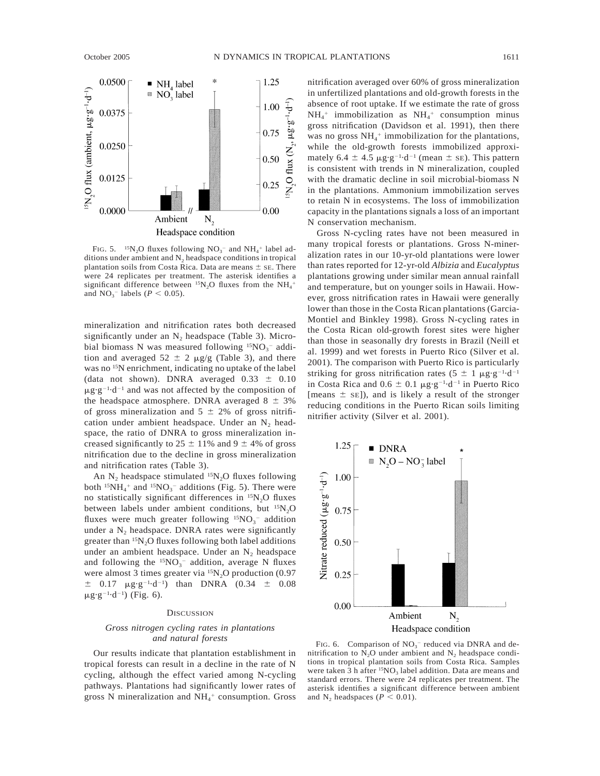

FIG. 5.  $15N_2O$  fluxes following  $NO_3^-$  and  $NH_4^+$  label additions under ambient and  $N_2$  headspace conditions in tropical plantation soils from Costa Rica. Data are means  $\pm$  se. There were 24 replicates per treatment. The asterisk identifies a significant difference between  ${}^{15}N_2O$  fluxes from the  $NH_4$ <sup>+</sup> and  $NO_3^-$  labels ( $P < 0.05$ ).

mineralization and nitrification rates both decreased significantly under an  $N_2$  headspace (Table 3). Microbial biomass N was measured following  $15NO_3^-$  addition and averaged  $52 \pm 2 \mu g/g$  (Table 3), and there was no 15N enrichment, indicating no uptake of the label (data not shown). DNRA averaged  $0.33 \pm 0.10$  $\mu$ g·g<sup>-1</sup>·d<sup>-1</sup> and was not affected by the composition of the headspace atmosphere. DNRA averaged  $8 \pm 3\%$ of gross mineralization and  $5 \pm 2\%$  of gross nitrification under ambient headspace. Under an  $N_2$  headspace, the ratio of DNRA to gross mineralization increased significantly to  $25 \pm 11\%$  and  $9 \pm 4\%$  of gross nitrification due to the decline in gross mineralization and nitrification rates (Table 3).

An  $N_2$  headspace stimulated  $^{15}N_2O$  fluxes following both  ${}^{15}NH_4{}^+$  and  ${}^{15}NO_3{}^-$  additions (Fig. 5). There were no statistically significant differences in <sup>15</sup>N<sub>2</sub>O fluxes between labels under ambient conditions, but  $^{15}N_2O$ fluxes were much greater following  $15NO_3^-$  addition under a  $N_2$  headspace. DNRA rates were significantly greater than  $15N<sub>2</sub>O$  fluxes following both label additions under an ambient headspace. Under an  $N_2$  headspace and following the  $15NO_3^-$  addition, average N fluxes were almost 3 times greater via  ${}^{15}N_2O$  production (0.97  $\pm$  0.17  $\mu$ g·g<sup>-1</sup>·d<sup>-1</sup>) than DNRA (0.34  $\pm$  0.08  $\mu$ g·g<sup>-1</sup>·d<sup>-1</sup>) (Fig. 6).

# **DISCUSSION**

# *Gross nitrogen cycling rates in plantations and natural forests*

Our results indicate that plantation establishment in tropical forests can result in a decline in the rate of N cycling, although the effect varied among N-cycling pathways. Plantations had significantly lower rates of gross N mineralization and  $NH_4$ <sup>+</sup> consumption. Gross

nitrification averaged over 60% of gross mineralization in unfertilized plantations and old-growth forests in the absence of root uptake. If we estimate the rate of gross  $NH_4^+$  immobilization as  $NH_4^+$  consumption minus gross nitrification (Davidson et al. 1991), then there was no gross NH<sub>4</sub><sup>+</sup> immobilization for the plantations, while the old-growth forests immobilized approximately 6.4  $\pm$  4.5  $\mu$ g·g<sup>-1</sup>·d<sup>-1</sup> (mean  $\pm$  sE). This pattern is consistent with trends in N mineralization, coupled with the dramatic decline in soil microbial-biomass N in the plantations. Ammonium immobilization serves to retain N in ecosystems. The loss of immobilization capacity in the plantations signals a loss of an important N conservation mechanism.

Gross N-cycling rates have not been measured in many tropical forests or plantations. Gross N-mineralization rates in our 10-yr-old plantations were lower than rates reported for 12-yr-old *Albizia* and *Eucalyptus* plantations growing under similar mean annual rainfall and temperature, but on younger soils in Hawaii. However, gross nitrification rates in Hawaii were generally lower than those in the Costa Rican plantations (Garcia-Montiel and Binkley 1998). Gross N-cycling rates in the Costa Rican old-growth forest sites were higher than those in seasonally dry forests in Brazil (Neill et al. 1999) and wet forests in Puerto Rico (Silver et al. 2001). The comparison with Puerto Rico is particularly striking for gross nitrification rates (5  $\pm$  1  $\mu$ g·g<sup>-1</sup>·d<sup>-1</sup> in Costa Rica and  $0.6 \pm 0.1 \ \mu g \cdot g^{-1} \cdot d^{-1}$  in Puerto Rico [means  $\pm$  se]), and is likely a result of the stronger reducing conditions in the Puerto Rican soils limiting nitrifier activity (Silver et al. 2001).



FIG. 6. Comparison of  $NO<sub>3</sub>^-$  reduced via DNRA and denitrification to  $N_2O$  under ambient and  $N_2$  headspace conditions in tropical plantation soils from Costa Rica. Samples were taken  $3 h$  after <sup>15</sup>NO<sub>3</sub> label addition. Data are means and standard errors. There were 24 replicates per treatment. The asterisk identifies a significant difference between ambient and  $N_2$  headspaces ( $P < 0.01$ ).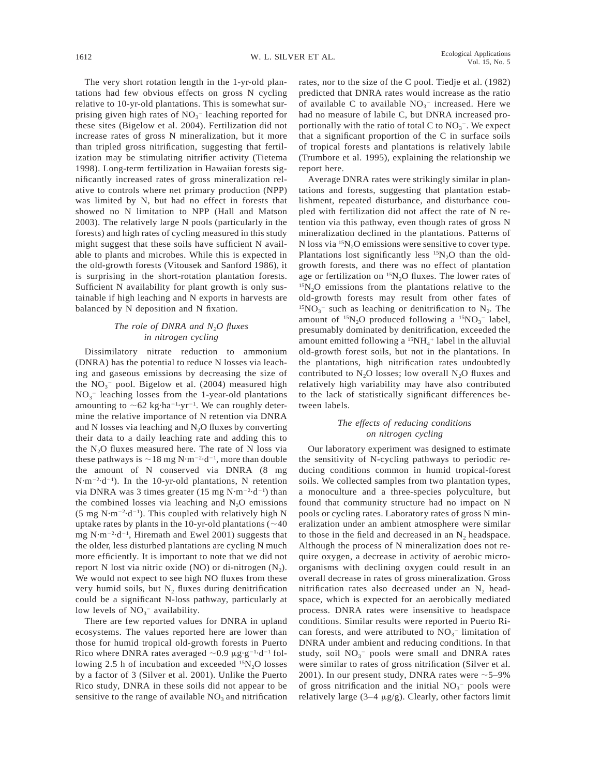The very short rotation length in the 1-yr-old plantations had few obvious effects on gross N cycling relative to 10-yr-old plantations. This is somewhat surprising given high rates of  $NO<sub>3</sub><sup>-</sup>$  leaching reported for these sites (Bigelow et al. 2004). Fertilization did not increase rates of gross N mineralization, but it more than tripled gross nitrification, suggesting that fertilization may be stimulating nitrifier activity (Tietema 1998). Long-term fertilization in Hawaiian forests significantly increased rates of gross mineralization relative to controls where net primary production (NPP) was limited by N, but had no effect in forests that showed no N limitation to NPP (Hall and Matson 2003). The relatively large N pools (particularly in the forests) and high rates of cycling measured in this study might suggest that these soils have sufficient N available to plants and microbes. While this is expected in the old-growth forests (Vitousek and Sanford 1986), it is surprising in the short-rotation plantation forests. Sufficient N availability for plant growth is only sustainable if high leaching and N exports in harvests are balanced by N deposition and N fixation.

# *The role of DNRA and N2O fluxes in nitrogen cycling*

Dissimilatory nitrate reduction to ammonium (DNRA) has the potential to reduce N losses via leaching and gaseous emissions by decreasing the size of the  $NO<sub>3</sub><sup>-</sup>$  pool. Bigelow et al. (2004) measured high  $NO<sub>3</sub><sup>-</sup>$  leaching losses from the 1-year-old plantations amounting to  $\sim 62$  kg·ha<sup>-1</sup>·yr<sup>-1</sup>. We can roughly determine the relative importance of N retention via DNRA and N losses via leaching and  $N_2O$  fluxes by converting their data to a daily leaching rate and adding this to the  $N_2O$  fluxes measured here. The rate of N loss via these pathways is  $\sim$  18 mg N·m<sup>-2</sup>·d<sup>-1</sup>, more than double the amount of N conserved via DNRA (8 mg  $N \cdot m^{-2} \cdot d^{-1}$ ). In the 10-yr-old plantations, N retention via DNRA was 3 times greater  $(15 \text{ mg N} \cdot \text{m}^{-2} \cdot \text{d}^{-1})$  than the combined losses via leaching and  $N_2O$  emissions  $(5 \text{ mg N} \cdot \text{m}^{-2} \cdot \text{d}^{-1})$ . This coupled with relatively high N uptake rates by plants in the 10-yr-old plantations  $(\sim 40$ mg  $N \cdot m^{-2} \cdot d^{-1}$ , Hiremath and Ewel 2001) suggests that the older, less disturbed plantations are cycling N much more efficiently. It is important to note that we did not report N lost via nitric oxide (NO) or di-nitrogen  $(N_2)$ . We would not expect to see high NO fluxes from these very humid soils, but  $N_2$  fluxes during denitrification could be a significant N-loss pathway, particularly at low levels of  $NO<sub>3</sub><sup>-</sup>$  availability.

There are few reported values for DNRA in upland ecosystems. The values reported here are lower than those for humid tropical old-growth forests in Puerto Rico where DNRA rates averaged  $\sim 0.9 \mu g \cdot g^{-1} \cdot d^{-1}$  following 2.5 h of incubation and exceeded  $15N<sub>2</sub>O$  losses by a factor of 3 (Silver et al. 2001). Unlike the Puerto Rico study, DNRA in these soils did not appear to be sensitive to the range of available  $NO<sub>3</sub>$  and nitrification

rates, nor to the size of the C pool. Tiedje et al. (1982) predicted that DNRA rates would increase as the ratio of available C to available  $NO<sub>3</sub><sup>-</sup>$  increased. Here we had no measure of labile C, but DNRA increased proportionally with the ratio of total C to  $NO<sub>3</sub><sup>-</sup>$ . We expect that a significant proportion of the C in surface soils of tropical forests and plantations is relatively labile (Trumbore et al. 1995), explaining the relationship we report here.

Average DNRA rates were strikingly similar in plantations and forests, suggesting that plantation establishment, repeated disturbance, and disturbance coupled with fertilization did not affect the rate of N retention via this pathway, even though rates of gross N mineralization declined in the plantations. Patterns of N loss via  $15N<sub>2</sub>O$  emissions were sensitive to cover type. Plantations lost significantly less  $15N<sub>2</sub>O$  than the oldgrowth forests, and there was no effect of plantation age or fertilization on  $15N<sub>2</sub>O$  fluxes. The lower rates of  $15N<sub>2</sub>O$  emissions from the plantations relative to the old-growth forests may result from other fates of <sup>15</sup>NO<sub>3</sub><sup>-</sup> such as leaching or denitrification to N<sub>2</sub>. The amount of  $^{15}N_2O$  produced following a  $^{15}NO_3^-$  label, presumably dominated by denitrification, exceeded the amount emitted following a  ${}^{15}NH_4{}^+$  label in the alluvial old-growth forest soils, but not in the plantations. In the plantations, high nitrification rates undoubtedly contributed to  $N_2O$  losses; low overall  $N_2O$  fluxes and relatively high variability may have also contributed to the lack of statistically significant differences between labels.

# *The effects of reducing conditions on nitrogen cycling*

Our laboratory experiment was designed to estimate the sensitivity of N-cycling pathways to periodic reducing conditions common in humid tropical-forest soils. We collected samples from two plantation types, a monoculture and a three-species polyculture, but found that community structure had no impact on N pools or cycling rates. Laboratory rates of gross N mineralization under an ambient atmosphere were similar to those in the field and decreased in an  $N<sub>2</sub>$  headspace. Although the process of N mineralization does not require oxygen, a decrease in activity of aerobic microorganisms with declining oxygen could result in an overall decrease in rates of gross mineralization. Gross nitrification rates also decreased under an  $N_2$  headspace, which is expected for an aerobically mediated process. DNRA rates were insensitive to headspace conditions. Similar results were reported in Puerto Rican forests, and were attributed to  $NO<sub>3</sub><sup>-</sup>$  limitation of DNRA under ambient and reducing conditions. In that study, soil  $NO<sub>3</sub><sup>-</sup>$  pools were small and DNRA rates were similar to rates of gross nitrification (Silver et al. 2001). In our present study, DNRA rates were  $\sim$  5–9% of gross nitrification and the initial  $NO<sub>3</sub><sup>-</sup>$  pools were relatively large  $(3-4 \mu g/g)$ . Clearly, other factors limit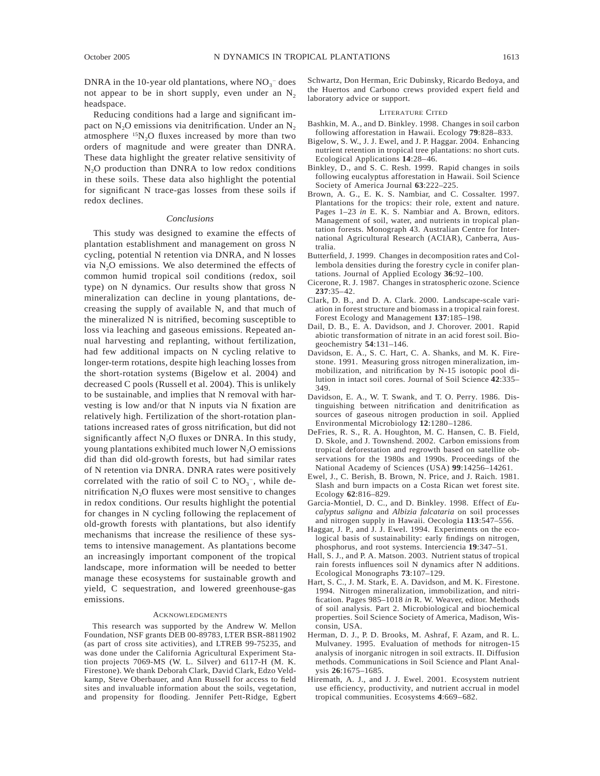DNRA in the 10-year old plantations, where  $NO<sub>3</sub><sup>-</sup>$  does not appear to be in short supply, even under an  $N_2$ headspace.

Reducing conditions had a large and significant impact on  $N_2O$  emissions via denitrification. Under an  $N_2$ atmosphere  $15N<sub>2</sub>O$  fluxes increased by more than two orders of magnitude and were greater than DNRA. These data highlight the greater relative sensitivity of  $N<sub>2</sub>O$  production than DNRA to low redox conditions in these soils. These data also highlight the potential for significant N trace-gas losses from these soils if redox declines.

#### *Conclusions*

This study was designed to examine the effects of plantation establishment and management on gross N cycling, potential N retention via DNRA, and N losses via N2O emissions. We also determined the effects of common humid tropical soil conditions (redox, soil type) on N dynamics. Our results show that gross N mineralization can decline in young plantations, decreasing the supply of available N, and that much of the mineralized N is nitrified, becoming susceptible to loss via leaching and gaseous emissions. Repeated annual harvesting and replanting, without fertilization, had few additional impacts on N cycling relative to longer-term rotations, despite high leaching losses from the short-rotation systems (Bigelow et al. 2004) and decreased C pools (Russell et al. 2004). This is unlikely to be sustainable, and implies that N removal with harvesting is low and/or that N inputs via N fixation are relatively high. Fertilization of the short-rotation plantations increased rates of gross nitrification, but did not significantly affect  $N_2O$  fluxes or DNRA. In this study, young plantations exhibited much lower  $N_2O$  emissions did than did old-growth forests, but had similar rates of N retention via DNRA. DNRA rates were positively correlated with the ratio of soil C to  $NO<sub>3</sub><sup>-</sup>$ , while denitrification  $N_2O$  fluxes were most sensitive to changes in redox conditions. Our results highlight the potential for changes in N cycling following the replacement of old-growth forests with plantations, but also identify mechanisms that increase the resilience of these systems to intensive management. As plantations become an increasingly important component of the tropical landscape, more information will be needed to better manage these ecosystems for sustainable growth and yield, C sequestration, and lowered greenhouse-gas emissions.

#### ACKNOWLEDGMENTS

This research was supported by the Andrew W. Mellon Foundation, NSF grants DEB 00-89783, LTER BSR-8811902 (as part of cross site activities), and LTREB 99-75235, and was done under the California Agricultural Experiment Station projects 7069-MS (W. L. Silver) and 6117-H (M. K. Firestone). We thank Deborah Clark, David Clark, Edzo Veldkamp, Steve Oberbauer, and Ann Russell for access to field sites and invaluable information about the soils, vegetation, and propensity for flooding. Jennifer Pett-Ridge, Egbert Schwartz, Don Herman, Eric Dubinsky, Ricardo Bedoya, and the Huertos and Carbono crews provided expert field and laboratory advice or support.

#### LITERATURE CITED

- Bashkin, M. A., and D. Binkley. 1998. Changes in soil carbon following afforestation in Hawaii. Ecology **79**:828–833.
- Bigelow, S. W., J. J. Ewel, and J. P. Haggar. 2004. Enhancing nutrient retention in tropical tree plantations: no short cuts. Ecological Applications **14**:28–46.
- Binkley, D., and S. C. Resh. 1999. Rapid changes in soils following eucalyptus afforestation in Hawaii. Soil Science Society of America Journal **63**:222–225.
- Brown, A. G., E. K. S. Nambiar, and C. Cossalter. 1997. Plantations for the tropics: their role, extent and nature. Pages 1–23 *in* E. K. S. Nambiar and A. Brown, editors. Management of soil, water, and nutrients in tropical plantation forests. Monograph 43. Australian Centre for International Agricultural Research (ACIAR), Canberra, Australia.
- Butterfield, J. 1999. Changes in decomposition rates and Collembola densities during the forestry cycle in conifer plantations. Journal of Applied Ecology **36**:92–100.
- Cicerone, R. J. 1987. Changes in stratospheric ozone. Science **237**:35–42.
- Clark, D. B., and D. A. Clark. 2000. Landscape-scale variation in forest structure and biomass in a tropical rain forest. Forest Ecology and Management **137**:185–198.
- Dail, D. B., E. A. Davidson, and J. Chorover. 2001. Rapid abiotic transformation of nitrate in an acid forest soil. Biogeochemistry **54**:131–146.
- Davidson, E. A., S. C. Hart, C. A. Shanks, and M. K. Firestone. 1991. Measuring gross nitrogen mineralization, immobilization, and nitrification by N-15 isotopic pool dilution in intact soil cores. Journal of Soil Science **42**:335– 349.
- Davidson, E. A., W. T. Swank, and T. O. Perry. 1986. Distinguishing between nitrification and denitrification as sources of gaseous nitrogen production in soil. Applied Environmental Microbiology **12**:1280–1286.
- DeFries, R. S., R. A. Houghton, M. C. Hansen, C. B. Field, D. Skole, and J. Townshend. 2002. Carbon emissions from tropical deforestation and regrowth based on satellite observations for the 1980s and 1990s. Proceedings of the National Academy of Sciences (USA) **99**:14256–14261.
- Ewel, J., C. Berish, B. Brown, N. Price, and J. Raich. 1981. Slash and burn impacts on a Costa Rican wet forest site. Ecology **62**:816–829.
- Garcia-Montiel, D. C., and D. Binkley. 1998. Effect of *Eucalyptus saligna* and *Albizia falcataria* on soil processes and nitrogen supply in Hawaii. Oecologia **113**:547–556.
- Haggar, J. P., and J. J. Ewel. 1994. Experiments on the ecological basis of sustainability: early findings on nitrogen, phosphorus, and root systems. Interciencia **19**:347–51.
- Hall, S. J., and P. A. Matson. 2003. Nutrient status of tropical rain forests influences soil N dynamics after N additions. Ecological Monographs **73**:107–129.
- Hart, S. C., J. M. Stark, E. A. Davidson, and M. K. Firestone. 1994. Nitrogen mineralization, immobilization, and nitrification. Pages 985–1018 *in* R. W. Weaver, editor. Methods of soil analysis. Part 2. Microbiological and biochemical properties. Soil Science Society of America, Madison, Wisconsin, USA.
- Herman, D. J., P. D. Brooks, M. Ashraf, F. Azam, and R. L. Mulvaney. 1995. Evaluation of methods for nitrogen-15 analysis of inorganic nitrogen in soil extracts. II. Diffusion methods. Communications in Soil Science and Plant Analysis **26**:1675–1685.
- Hiremath, A. J., and J. J. Ewel. 2001. Ecosystem nutrient use efficiency, productivity, and nutrient accrual in model tropical communities. Ecosystems **4**:669–682.